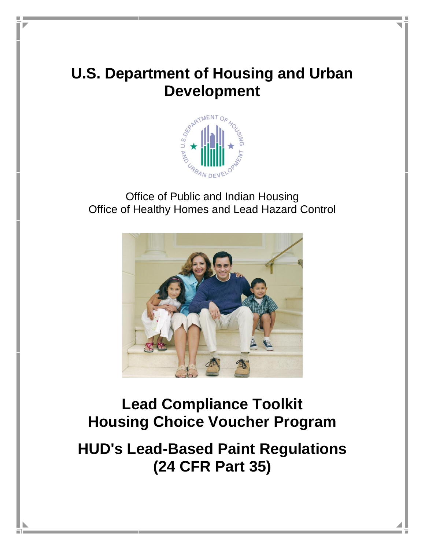# **U.S. Department of Housing and Urban Development**



Office of Public and Indian Housing Office of Healthy Homes and Lead Hazard Control



# **Lead Compliance Toolkit Housing Choice Voucher Program**

# **HUD's Lead-Based Paint Regulations (24 CFR Part 35)**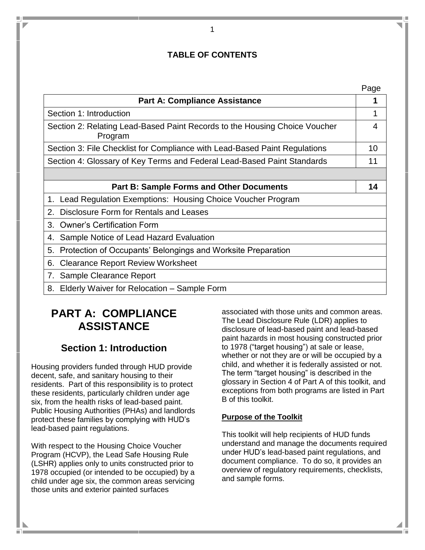# **TABLE OF CONTENTS**

| <b>Part A: Compliance Assistance</b>                                                  | 1               |
|---------------------------------------------------------------------------------------|-----------------|
| Section 1: Introduction                                                               | 1               |
| Section 2: Relating Lead-Based Paint Records to the Housing Choice Voucher<br>Program | 4               |
| Section 3: File Checklist for Compliance with Lead-Based Paint Regulations            | 10 <sup>°</sup> |
| Section 4: Glossary of Key Terms and Federal Lead-Based Paint Standards               | 11              |
|                                                                                       |                 |
| <b>Part B: Sample Forms and Other Documents</b>                                       | 14              |
| 1. Lead Regulation Exemptions: Housing Choice Voucher Program                         |                 |
| Disclosure Form for Rentals and Leases<br>2.                                          |                 |
| <b>Owner's Certification Form</b><br>3.                                               |                 |
| Sample Notice of Lead Hazard Evaluation<br>4.                                         |                 |
| 5. Protection of Occupants' Belongings and Worksite Preparation                       |                 |
| <b>Clearance Report Review Worksheet</b><br>6.                                        |                 |
| 7. Sample Clearance Report                                                            |                 |
| 8.<br>Elderly Waiver for Relocation – Sample Form                                     |                 |

# **PART A: COMPLIANCE ASSISTANCE**

# **Section 1: Introduction**

Housing providers funded through HUD provide decent, safe, and sanitary housing to their residents. Part of this responsibility is to protect these residents, particularly children under age six, from the health risks of lead-based paint. Public Housing Authorities (PHAs) and landlords protect these families by complying with HUD's lead-based paint regulations.

With respect to the Housing Choice Voucher Program (HCVP), the Lead Safe Housing Rule (LSHR) applies only to units constructed prior to 1978 occupied (or intended to be occupied) by a child under age six, the common areas servicing those units and exterior painted surfaces

a n

associated with those units and common areas. The Lead Disclosure Rule (LDR) applies to disclosure of lead-based paint and lead-based paint hazards in most housing constructed prior to 1978 ("target housing") at sale or lease, whether or not they are or will be occupied by a child, and whether it is federally assisted or not. The term "target housing" is described in the glossary in Section 4 of Part A of this toolkit, and exceptions from both programs are listed in Part B of this toolkit.

# **Purpose of the Toolkit**

This toolkit will help recipients of HUD funds understand and manage the documents required under HUD's lead-based paint regulations, and document compliance. To do so, it provides an overview of regulatory requirements, checklists, and sample forms.

1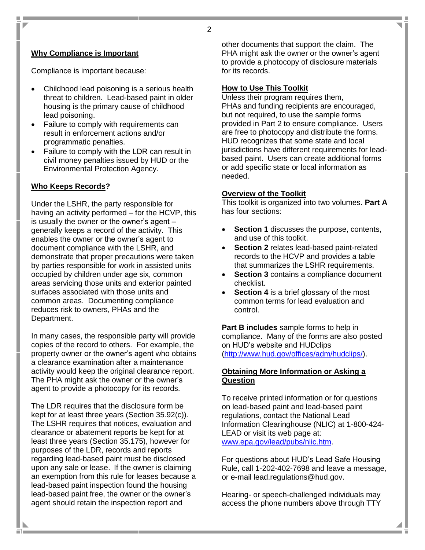#### 2

#### **Why Compliance is Important**

Compliance is important because:

- Childhood lead poisoning is a serious health threat to children. Lead-based paint in older housing is the primary cause of childhood lead poisoning.
- Failure to comply with requirements can result in enforcement actions and/or programmatic penalties.
- Failure to comply with the LDR can result in civil money penalties issued by HUD or the Environmental Protection Agency.

#### **Who Keeps Records?**

Under the LSHR, the party responsible for having an activity performed – for the HCVP, this is usually the owner or the owner's agent – generally keeps a record of the activity. This enables the owner or the owner's agent to document compliance with the LSHR, and demonstrate that proper precautions were taken by parties responsible for work in assisted units occupied by children under age six, common areas servicing those units and exterior painted surfaces associated with those units and common areas. Documenting compliance reduces risk to owners, PHAs and the Department.

In many cases, the responsible party will provide copies of the record to others. For example, the property owner or the owner's agent who obtains a clearance examination after a maintenance activity would keep the original clearance report. The PHA might ask the owner or the owner's agent to provide a photocopy for its records.

The LDR requires that the disclosure form be kept for at least three years (Section 35.92(c)). The LSHR requires that notices, evaluation and clearance or abatement reports be kept for at least three years (Section 35.175), however for purposes of the LDR, records and reports regarding lead-based paint must be disclosed upon any sale or lease. If the owner is claiming an exemption from this rule for leases because a lead-based paint inspection found the housing lead-based paint free, the owner or the owner's agent should retain the inspection report and

other documents that support the claim. The PHA might ask the owner or the owner's agent to provide a photocopy of disclosure materials for its records.

#### **How to Use This Toolkit**

Unless their program requires them, PHAs and funding recipients are encouraged, but not required, to use the sample forms provided in Part 2 to ensure compliance. Users are free to photocopy and distribute the forms. HUD recognizes that some state and local jurisdictions have different requirements for leadbased paint. Users can create additional forms or add specific state or local information as needed.

#### **Overview of the Toolkit**

This toolkit is organized into two volumes. **Part A** has four sections:

- **Section 1** discusses the purpose, contents, and use of this toolkit.
- **Section 2** relates lead-based paint-related records to the HCVP and provides a table that summarizes the LSHR requirements.
- **Section 3** contains a compliance document checklist.
- **Section 4** is a brief glossary of the most common terms for lead evaluation and control.

**Part B includes** sample forms to help in compliance. Many of the forms are also posted on HUD's website and HUDclips [\(http://www.hud.gov/offices/adm/hudclips/\)](http://www.hud.gov/offices/adm/hudclips/).

#### **Obtaining More Information or Asking a Question**

To receive printed information or for questions on lead-based paint and lead-based paint regulations, contact the National Lead Information Clearinghouse (NLIC) at 1-800-424- LEAD or visit its web page at: [www.epa.gov/lead/pubs/nlic.htm.](http://www.epa.gov/lead/pubs/nlic.htm)

For questions about HUD's Lead Safe Housing Rule, call 1-202-402-7698 and leave a message, or e-mail lead.regulations@hud.gov.

Hearing- or speech-challenged individuals may access the phone numbers above through TTY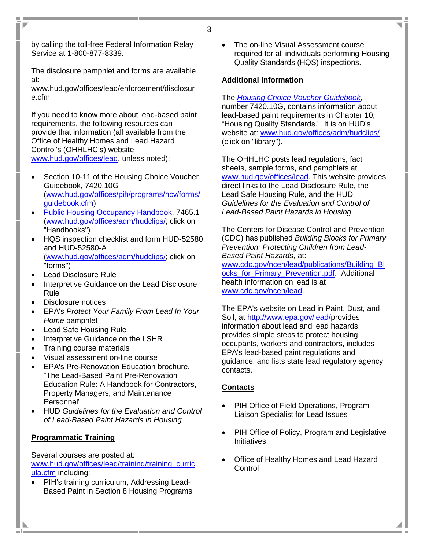by calling the toll-free Federal Information Relay Service at 1-800-877-8339.

 $\overline{\phantom{a}}$ 

The disclosure pamphlet and forms are available at:

www.hud.gov/offices/lead/enforcement/disclosur e.cfm

If you need to know more about lead-based paint requirements, the following resources can provide that information (all available from the Office of Healthy Homes and Lead Hazard Control's (OHHLHC's) website [www.hud.gov/offices/lead,](http://www.hud.gov/offices/lead) unless noted):

- Section 10-11 of the Housing Choice Voucher Guidebook, 7420.10G [\(www.hud.gov/offices/pih/programs/hcv/forms/](http://www.hud.gov/offices/pih/programs/hcv/forms/guidebook.cfm) [guidebook.cfm\)](http://www.hud.gov/offices/pih/programs/hcv/forms/guidebook.cfm)
- [Public Housing Occupancy Handbook,](http://www.hud.gov/offices/adm/hudclips/handbooks/pihh/74651/index.cfm) 7465.1 [\(www.hud.gov/offices/adm/hudclips/;](http://www.hud.gov/offices/adm/hudclips/) click on "Handbooks")
- HQS inspection checklist and form HUD-52580 and HUD-52580-A [\(www.hud.gov/offices/adm/hudclips/;](http://www.hud.gov/offices/adm/hudclips/) click on "forms")
- Lead Disclosure Rule
- Interpretive Guidance on the Lead Disclosure Rule
- Disclosure notices
- EPA's *Protect Your Family From Lead In Your Home* pamphlet
- Lead Safe Housing Rule
- Interpretive Guidance on the LSHR
- Training course materials
- Visual assessment on-line course
- EPA's Pre-Renovation Education brochure, "The Lead-Based Paint Pre-Renovation Education Rule: A Handbook for Contractors, Property Managers, and Maintenance Personnel"
- HUD *Guidelines for the Evaluation and Control of Lead-Based Paint Hazards in Housing*

# **Programmatic Training**

Several courses are posted at: [www.hud.gov/offices/lead/training/training\\_curric](http://www.hud.gov/offices/lead/training/training_curricula.cfm) [ula.cfm](http://www.hud.gov/offices/lead/training/training_curricula.cfm) including:

• PIH's training curriculum, Addressing Lead-Based Paint in Section 8 Housing Programs • The on-line Visual Assessment course required for all individuals performing Housing Quality Standards (HQS) inspections.

### **Additional Information**

The *[Housing Choice Voucher Guidebook,](http://www.hud.gov/offices/adm/hudclips/guidebooks/7420.10G/index.cfm)* number 7420.10G, contains information about lead-based paint requirements in Chapter 10, "Housing Quality Standards." It is on HUD's website at: [www.hud.gov/offices/adm/hudclips/](http://www.hud.gov/offices/adm/hudclips/) (click on "library").

The OHHLHC posts lead regulations, fact sheets, sample forms, and pamphlets at [www.hud.gov/offices/lead.](http://www.hud.gov/offices/lead) This website provides direct links to the Lead Disclosure Rule, the Lead Safe Housing Rule, and the HUD *Guidelines for the Evaluation and Control of Lead-Based Paint Hazards in Housing.*

The Centers for Disease Control and Prevention (CDC) has published *Building Blocks for Primary Prevention: Protecting Children from Lead-Based Paint Hazards*, at: [www.cdc.gov/nceh/lead/publications/Building\\_Bl](http://www.cdc.gov/nceh/lead/publications/Building_Blocks_for_Primary_Prevention.pdf) ocks for Primary Prevention.pdf. Additional health information on lead is at [www.cdc.gov/nceh/lead.](http://www.cdc.gov/nceh/lead)

The EPA's website on Lead in Paint, Dust, and Soil, at [http://www.epa.gov/lead/p](http://www.epa.gov/lead/)rovides information about lead and lead hazards, provides simple steps to protect housing occupants, workers and contractors, includes EPA's lead-based paint regulations and guidance, and lists state lead regulatory agency contacts.

# **Contacts**

- PIH Office of Field Operations, Program Liaison Specialist for Lead Issues
- PIH Office of Policy, Program and Legislative **Initiatives**
- Office of Healthy Homes and Lead Hazard **Control**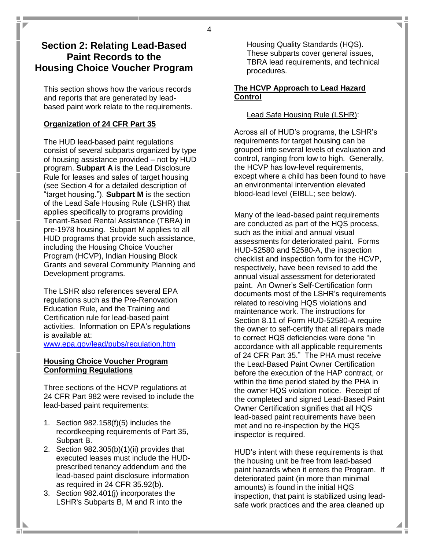# **Section 2: Relating Lead-Based Paint Records to the Housing Choice Voucher Program**

This section shows how the various records and reports that are generated by leadbased paint work relate to the requirements.

### **Organization of 24 CFR Part 35**

The HUD lead-based paint regulations consist of several subparts organized by type of housing assistance provided – not by HUD program. **Subpart A** is the Lead Disclosure Rule for leases and sales of target housing (see Section 4 for a detailed description of "target housing."). **Subpart M** is the section of the Lead Safe Housing Rule (LSHR) that applies specifically to programs providing Tenant-Based Rental Assistance (TBRA) in pre-1978 housing. Subpart M applies to all HUD programs that provide such assistance, including the Housing Choice Voucher Program (HCVP), Indian Housing Block Grants and several Community Planning and Development programs.

The LSHR also references several EPA regulations such as the Pre-Renovation Education Rule, and the Training and Certification rule for lead-based paint activities. Information on EPA's regulations is available at:

[www.epa.gov/lead/pubs/regulation.htm](http://www.epa.gov/lead/pubs/regulation.htm)

#### **Housing Choice Voucher Program Conforming Regulations**

Three sections of the HCVP regulations at 24 CFR Part 982 were revised to include the lead-based paint requirements:

- 1. Section 982.158(f)(5) includes the recordkeeping requirements of Part 35, Subpart B.
- 2. Section 982.305(b)(1)(ii) provides that executed leases must include the HUDprescribed tenancy addendum and the lead-based paint disclosure information as required in 24 CFR 35.92(b).
- 3. Section 982.401(j) incorporates the LSHR's Subparts B, M and R into the

Housing Quality Standards (HQS). These subparts cover general issues, TBRA lead requirements, and technical procedures.

#### **The HCVP Approach to Lead Hazard Control**

### Lead Safe Housing Rule (LSHR):

Across all of HUD's programs, the LSHR's requirements for target housing can be grouped into several levels of evaluation and control, ranging from low to high. Generally, the HCVP has low-level requirements, except where a child has been found to have an environmental intervention elevated blood-lead level (EIBLL; see below).

Many of the lead-based paint requirements are conducted as part of the HQS process, such as the initial and annual visual assessments for deteriorated paint. Forms HUD-52580 and 52580-A, the inspection checklist and inspection form for the HCVP, respectively, have been revised to add the annual visual assessment for deteriorated paint. An Owner's Self-Certification form documents most of the LSHR's requirements related to resolving HQS violations and maintenance work. The instructions for Section 8.11 of Form HUD-52580-A require the owner to self-certify that all repairs made to correct HQS deficiencies were done "in accordance with all applicable requirements of 24 CFR Part 35." The PHA must receive the Lead-Based Paint Owner Certification before the execution of the HAP contract, or within the time period stated by the PHA in the owner HQS violation notice. Receipt of the completed and signed Lead-Based Paint Owner Certification signifies that all HQS lead-based paint requirements have been met and no re-inspection by the HQS inspector is required.

HUD's intent with these requirements is that the housing unit be free from lead-based paint hazards when it enters the Program. If deteriorated paint (in more than minimal amounts) is found in the initial HQS inspection, that paint is stabilized using leadsafe work practices and the area cleaned up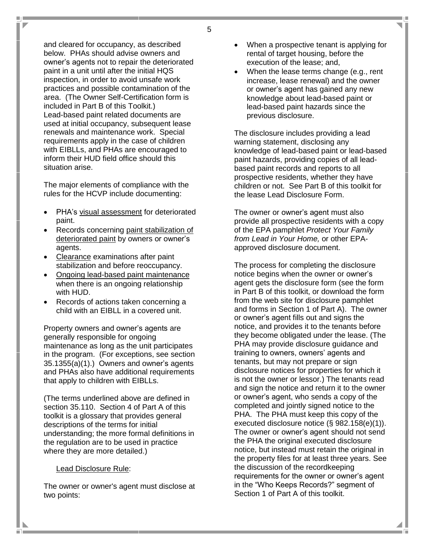and cleared for occupancy, as described below. PHAs should advise owners and owner's agents not to repair the deteriorated paint in a unit until after the initial HQS inspection, in order to avoid unsafe work practices and possible contamination of the area. (The Owner Self-Certification form is included in Part B of this Toolkit.) Lead-based paint related documents are used at initial occupancy, subsequent lease renewals and maintenance work. Special requirements apply in the case of children with EIBLLs, and PHAs are encouraged to inform their HUD field office should this situation arise.

The major elements of compliance with the rules for the HCVP include documenting:

- PHA's visual assessment for deteriorated paint.
- Records concerning paint stabilization of deteriorated paint by owners or owner's agents.
- Clearance examinations after paint stabilization and before reoccupancy.
- Ongoing lead-based paint maintenance when there is an ongoing relationship with HUD.
- Records of actions taken concerning a child with an EIBLL in a covered unit.

Property owners and owner's agents are generally responsible for ongoing maintenance as long as the unit participates in the program. (For exceptions, see section 35.1355(a)(1).) Owners and owner's agents and PHAs also have additional requirements that apply to children with EIBLLs.

(The terms underlined above are defined in section 35.110. Section 4 of Part A of this toolkit is a glossary that provides general descriptions of the terms for initial understanding; the more formal definitions in the regulation are to be used in practice where they are more detailed.)

#### Lead Disclosure Rule:

The owner or owner's agent must disclose at two points:

- When a prospective tenant is applying for rental of target housing, before the execution of the lease; and,
- When the lease terms change (e.g., rent increase, lease renewal) and the owner or owner's agent has gained any new knowledge about lead-based paint or lead-based paint hazards since the previous disclosure.

The disclosure includes providing a lead warning statement, disclosing any knowledge of lead-based paint or lead-based paint hazards, providing copies of all leadbased paint records and reports to all prospective residents, whether they have children or not. See Part B of this toolkit for the lease Lead Disclosure Form.

The owner or owner's agent must also provide all prospective residents with a copy of the EPA pamphlet *Protect Your Family from Lead in Your Home,* or other EPAapproved disclosure document.

The process for completing the disclosure notice begins when the owner or owner's agent gets the disclosure form (see the form in Part B of this toolkit, or download the form from the web site for disclosure pamphlet and forms in Section 1 of Part A). The owner or owner's agent fills out and signs the notice, and provides it to the tenants before they become obligated under the lease. (The PHA may provide disclosure guidance and training to owners, owners' agents and tenants, but may not prepare or sign disclosure notices for properties for which it is not the owner or lessor.) The tenants read and sign the notice and return it to the owner or owner's agent, who sends a copy of the completed and jointly signed notice to the PHA. The PHA must keep this copy of the executed disclosure notice (§ 982.158(e)(1)). The owner or owner's agent should not send the PHA the original executed disclosure notice, but instead must retain the original in the property files for at least three years. See the discussion of the recordkeeping requirements for the owner or owner's agent in the "Who Keeps Records?" segment of Section 1 of Part A of this toolkit.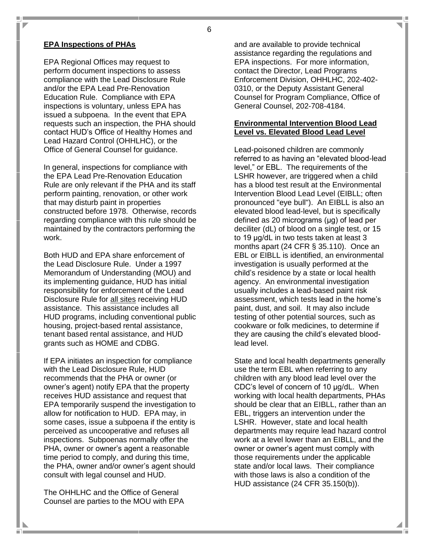#### **EPA Inspections of PHAs**

EPA Regional Offices may request to perform document inspections to assess compliance with the Lead Disclosure Rule and/or the EPA Lead Pre-Renovation Education Rule. Compliance with EPA inspections is voluntary, unless EPA has issued a subpoena. In the event that EPA requests such an inspection, the PHA should contact HUD's Office of Healthy Homes and Lead Hazard Control (OHHLHC), or the Office of General Counsel for guidance.

In general, inspections for compliance with the EPA Lead Pre-Renovation Education Rule are only relevant if the PHA and its staff perform painting, renovation, or other work that may disturb paint in properties constructed before 1978. Otherwise, records regarding compliance with this rule should be maintained by the contractors performing the work.

Both HUD and EPA share enforcement of the Lead Disclosure Rule. Under a 1997 Memorandum of Understanding (MOU) and its implementing guidance, HUD has initial responsibility for enforcement of the Lead Disclosure Rule for all sites receiving HUD assistance. This assistance includes all HUD programs, including conventional public housing, project-based rental assistance, tenant based rental assistance, and HUD grants such as HOME and CDBG.

If EPA initiates an inspection for compliance with the Lead Disclosure Rule, HUD recommends that the PHA or owner (or owner's agent) notify EPA that the property receives HUD assistance and request that EPA temporarily suspend the investigation to allow for notification to HUD. EPA may, in some cases, issue a subpoena if the entity is perceived as uncooperative and refuses all inspections. Subpoenas normally offer the PHA, owner or owner's agent a reasonable time period to comply, and during this time, the PHA, owner and/or owner's agent should consult with legal counsel and HUD.

The OHHLHC and the Office of General Counsel are parties to the MOU with EPA

a n

and are available to provide technical assistance regarding the regulations and EPA inspections. For more information, contact the Director, Lead Programs Enforcement Division, OHHLHC, 202-402- 0310, or the Deputy Assistant General Counsel for Program Compliance, Office of General Counsel, 202-708-4184.

#### **Environmental Intervention Blood Lead Level vs. Elevated Blood Lead Level**

Lead-poisoned children are commonly referred to as having an "elevated blood-lead level," or EBL. The requirements of the LSHR however, are triggered when a child has a blood test result at the Environmental Intervention Blood Lead Level (EIBLL; often pronounced "eye bull"). An EIBLL is also an elevated blood lead-level, but is specifically defined as 20 micrograms (μg) of lead per deciliter (dL) of blood on a single test, or 15 to 19 μg/dL in two tests taken at least 3 months apart (24 CFR § 35.110). Once an EBL or EIBLL is identified, an environmental investigation is usually performed at the child's residence by a state or local health agency. An environmental investigation usually includes a lead-based paint risk assessment, which tests lead in the home's paint, dust, and soil. It may also include testing of other potential sources, such as cookware or folk medicines, to determine if they are causing the child's elevated bloodlead level.

State and local health departments generally use the term EBL when referring to any children with any blood lead level over the CDC's level of concern of 10 μg/dL. When working with local health departments, PHAs should be clear that an EIBLL, rather than an EBL, triggers an intervention under the LSHR. However, state and local health departments may require lead hazard control work at a level lower than an EIBLL, and the owner or owner's agent must comply with those requirements under the applicable state and/or local laws. Their compliance with those laws is also a condition of the HUD assistance (24 CFR 35.150(b)).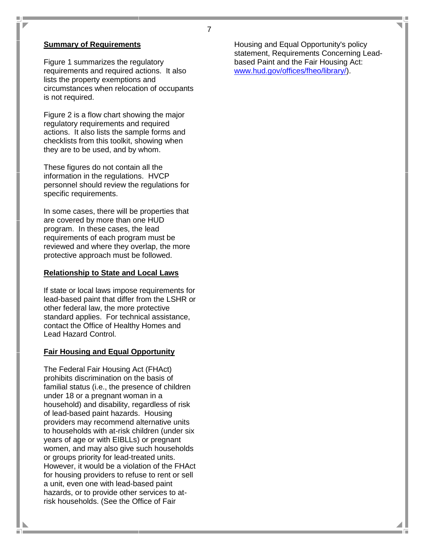#### **Summary of Requirements**

 $\overline{\phantom{a}}$ 

Figure 1 summarizes the regulatory requirements and required actions. It also lists the property exemptions and circumstances when relocation of occupants is not required.

Figure 2 is a flow chart showing the major regulatory requirements and required actions. It also lists the sample forms and checklists from this toolkit, showing when they are to be used, and by whom.

These figures do not contain all the information in the regulations. HVCP personnel should review the regulations for specific requirements.

In some cases, there will be properties that are covered by more than one HUD program. In these cases, the lead requirements of each program must be reviewed and where they overlap, the more protective approach must be followed.

#### **Relationship to State and Local Laws**

If state or local laws impose requirements for lead-based paint that differ from the LSHR or other federal law, the more protective standard applies. For technical assistance, contact the Office of Healthy Homes and Lead Hazard Control.

#### **Fair Housing and Equal Opportunity**

The Federal Fair Housing Act (FHAct) prohibits discrimination on the basis of familial status (i.e., the presence of children under 18 or a pregnant woman in a household) and disability, regardless of risk of lead-based paint hazards. Housing providers may recommend alternative units to households with at-risk children (under six years of age or with EIBLLs) or pregnant women, and may also give such households or groups priority for lead-treated units. However, it would be a violation of the FHAct for housing providers to refuse to rent or sell a unit, even one with lead-based paint hazards, or to provide other services to atrisk households. (See the Office of Fair

Housing and Equal Opportunity's policy statement, Requirements Concerning Leadbased Paint and the Fair Housing Act: [www.hud.gov/offices/fheo/library/\)](http://www.hud.gov/offices/fheo/library/).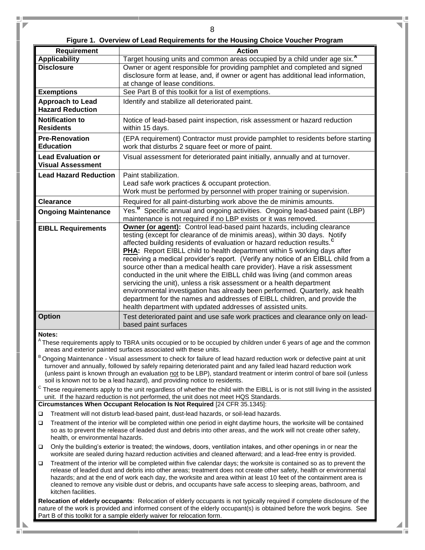ŋ.

4 u Tu

|  |  |  | Figure 1. Overview of Lead Requirements for the Housing Choice Voucher Program |  |  |  |  |  |
|--|--|--|--------------------------------------------------------------------------------|--|--|--|--|--|
|--|--|--|--------------------------------------------------------------------------------|--|--|--|--|--|

U.

n,

 $\overline{\phantom{a}}$ 

| <b>Requirement</b>                                                                                                                                                                                                                                 | <b>Action</b>                                                                                                                                                                                                                                |  |  |  |  |
|----------------------------------------------------------------------------------------------------------------------------------------------------------------------------------------------------------------------------------------------------|----------------------------------------------------------------------------------------------------------------------------------------------------------------------------------------------------------------------------------------------|--|--|--|--|
| <b>Applicability</b>                                                                                                                                                                                                                               | Target housing units and common areas occupied by a child under age six. <sup>A</sup>                                                                                                                                                        |  |  |  |  |
| <b>Disclosure</b>                                                                                                                                                                                                                                  | Owner or agent responsible for providing pamphlet and completed and signed                                                                                                                                                                   |  |  |  |  |
|                                                                                                                                                                                                                                                    | disclosure form at lease, and, if owner or agent has additional lead information,                                                                                                                                                            |  |  |  |  |
|                                                                                                                                                                                                                                                    | at change of lease conditions.                                                                                                                                                                                                               |  |  |  |  |
| <b>Exemptions</b>                                                                                                                                                                                                                                  | See Part B of this toolkit for a list of exemptions.                                                                                                                                                                                         |  |  |  |  |
| <b>Approach to Lead</b><br><b>Hazard Reduction</b>                                                                                                                                                                                                 | Identify and stabilize all deteriorated paint.                                                                                                                                                                                               |  |  |  |  |
| <b>Notification to</b>                                                                                                                                                                                                                             | Notice of lead-based paint inspection, risk assessment or hazard reduction                                                                                                                                                                   |  |  |  |  |
| <b>Residents</b>                                                                                                                                                                                                                                   | within 15 days.                                                                                                                                                                                                                              |  |  |  |  |
| <b>Pre-Renovation</b>                                                                                                                                                                                                                              | (EPA requirement) Contractor must provide pamphlet to residents before starting                                                                                                                                                              |  |  |  |  |
| <b>Education</b>                                                                                                                                                                                                                                   | work that disturbs 2 square feet or more of paint.                                                                                                                                                                                           |  |  |  |  |
| <b>Lead Evaluation or</b><br><b>Visual Assessment</b>                                                                                                                                                                                              | Visual assessment for deteriorated paint initially, annually and at turnover.                                                                                                                                                                |  |  |  |  |
| <b>Lead Hazard Reduction</b>                                                                                                                                                                                                                       | Paint stabilization.                                                                                                                                                                                                                         |  |  |  |  |
|                                                                                                                                                                                                                                                    | Lead safe work practices & occupant protection.                                                                                                                                                                                              |  |  |  |  |
|                                                                                                                                                                                                                                                    | Work must be performed by personnel with proper training or supervision.                                                                                                                                                                     |  |  |  |  |
| <b>Clearance</b>                                                                                                                                                                                                                                   | Required for all paint-disturbing work above the de minimis amounts.                                                                                                                                                                         |  |  |  |  |
| <b>Ongoing Maintenance</b>                                                                                                                                                                                                                         | Yes. <sup>B</sup> Specific annual and ongoing activities. Ongoing lead-based paint (LBP)                                                                                                                                                     |  |  |  |  |
|                                                                                                                                                                                                                                                    | maintenance is not required if no LBP exists or it was removed.                                                                                                                                                                              |  |  |  |  |
| <b>EIBLL Requirements</b>                                                                                                                                                                                                                          | Owner (or agent): Control lead-based paint hazards, including clearance                                                                                                                                                                      |  |  |  |  |
|                                                                                                                                                                                                                                                    | testing (except for clearance of de minimis areas), within 30 days. Notify                                                                                                                                                                   |  |  |  |  |
|                                                                                                                                                                                                                                                    | affected building residents of evaluation or hazard reduction results. <sup>C</sup>                                                                                                                                                          |  |  |  |  |
|                                                                                                                                                                                                                                                    | <b>PHA:</b> Report EIBLL child to health department within 5 working days after<br>receiving a medical provider's report. (Verify any notice of an EIBLL child from a                                                                        |  |  |  |  |
|                                                                                                                                                                                                                                                    | source other than a medical health care provider). Have a risk assessment                                                                                                                                                                    |  |  |  |  |
|                                                                                                                                                                                                                                                    | conducted in the unit where the EIBLL child was living (and common areas                                                                                                                                                                     |  |  |  |  |
|                                                                                                                                                                                                                                                    | servicing the unit), unless a risk assessment or a health department                                                                                                                                                                         |  |  |  |  |
|                                                                                                                                                                                                                                                    | environmental investigation has already been performed. Quarterly, ask health                                                                                                                                                                |  |  |  |  |
|                                                                                                                                                                                                                                                    | department for the names and addresses of EIBLL children, and provide the                                                                                                                                                                    |  |  |  |  |
|                                                                                                                                                                                                                                                    | health department with updated addresses of assisted units.                                                                                                                                                                                  |  |  |  |  |
| <b>Option</b>                                                                                                                                                                                                                                      | Test deteriorated paint and use safe work practices and clearance only on lead-<br>based paint surfaces                                                                                                                                      |  |  |  |  |
| Notes:                                                                                                                                                                                                                                             |                                                                                                                                                                                                                                              |  |  |  |  |
|                                                                                                                                                                                                                                                    | <sup>A</sup> These requirements apply to TBRA units occupied or to be occupied by children under 6 years of age and the common<br>areas and exterior painted surfaces associated with these units.                                           |  |  |  |  |
|                                                                                                                                                                                                                                                    | Ongoing Maintenance - Visual assessment to check for failure of lead hazard reduction work or defective paint at unit                                                                                                                        |  |  |  |  |
|                                                                                                                                                                                                                                                    | turnover and annually, followed by safely repairing deteriorated paint and any failed lead hazard reduction work                                                                                                                             |  |  |  |  |
|                                                                                                                                                                                                                                                    | (unless paint is known through an evaluation not to be LBP), standard treatment or interim control of bare soil (unless                                                                                                                      |  |  |  |  |
| С                                                                                                                                                                                                                                                  | soil is known not to be a lead hazard), and providing notice to residents.<br>These requirements apply to the unit regardless of whether the child with the EIBLL is or is not still living in the assisted                                  |  |  |  |  |
|                                                                                                                                                                                                                                                    | unit. If the hazard reduction is not performed, the unit does not meet HQS Standards.                                                                                                                                                        |  |  |  |  |
| Circumstances When Occupant Relocation Is Not Required [24 CFR 35.1345]:                                                                                                                                                                           |                                                                                                                                                                                                                                              |  |  |  |  |
| Treatment will not disturb lead-based paint, dust-lead hazards, or soil-lead hazards.<br>□                                                                                                                                                         |                                                                                                                                                                                                                                              |  |  |  |  |
| Treatment of the interior will be completed within one period in eight daytime hours, the worksite will be contained<br>$\Box$                                                                                                                     |                                                                                                                                                                                                                                              |  |  |  |  |
| so as to prevent the release of leaded dust and debris into other areas, and the work will not create other safety,<br>health, or environmental hazards.                                                                                           |                                                                                                                                                                                                                                              |  |  |  |  |
| $\Box$                                                                                                                                                                                                                                             | Only the building's exterior is treated; the windows, doors, ventilation intakes, and other openings in or near the<br>worksite are sealed during hazard reduction activities and cleaned afterward; and a lead-free entry is provided.      |  |  |  |  |
| $\Box$                                                                                                                                                                                                                                             |                                                                                                                                                                                                                                              |  |  |  |  |
|                                                                                                                                                                                                                                                    | Treatment of the interior will be completed within five calendar days; the worksite is contained so as to prevent the<br>release of leaded dust and debris into other areas; treatment does not create other safety, health or environmental |  |  |  |  |
|                                                                                                                                                                                                                                                    | hazards; and at the end of work each day, the worksite and area within at least 10 feet of the containment area is                                                                                                                           |  |  |  |  |
| kitchen facilities.                                                                                                                                                                                                                                | cleaned to remove any visible dust or debris, and occupants have safe access to sleeping areas, bathroom, and                                                                                                                                |  |  |  |  |
|                                                                                                                                                                                                                                                    |                                                                                                                                                                                                                                              |  |  |  |  |
| Relocation of elderly occupants: Relocation of elderly occupants is not typically required if complete disclosure of the<br>nature of the work is provided and informed consent of the elderly occupant(s) is obtained before the work begins. See |                                                                                                                                                                                                                                              |  |  |  |  |
|                                                                                                                                                                                                                                                    | Part B of this toolkit for a sample elderly waiver for relocation form.                                                                                                                                                                      |  |  |  |  |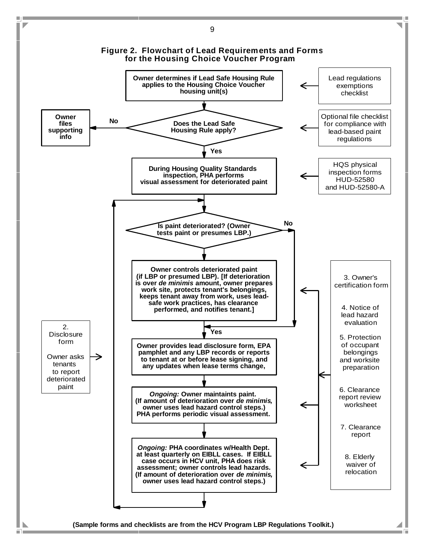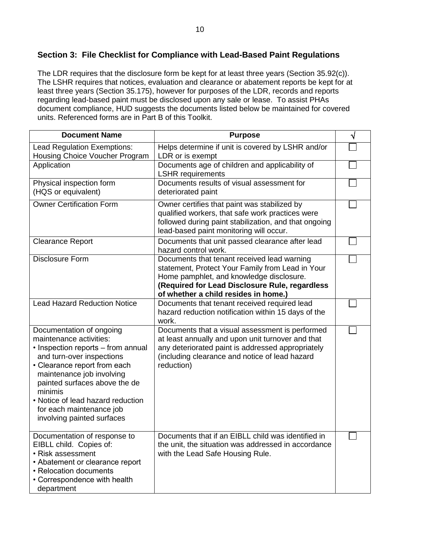# **Section 3: File Checklist for Compliance with Lead-Based Paint Regulations**

The LDR requires that the disclosure form be kept for at least three years (Section 35.92(c)). The LSHR requires that notices, evaluation and clearance or abatement reports be kept for at least three years (Section 35.175), however for purposes of the LDR, records and reports regarding lead-based paint must be disclosed upon any sale or lease. To assist PHAs document compliance, HUD suggests the documents listed below be maintained for covered units. Referenced forms are in Part B of this Toolkit.

| <b>Document Name</b>                                                                                                                                                                                                                                                                                                           | <b>Purpose</b>                                                                                                                                                                                                                        |  |
|--------------------------------------------------------------------------------------------------------------------------------------------------------------------------------------------------------------------------------------------------------------------------------------------------------------------------------|---------------------------------------------------------------------------------------------------------------------------------------------------------------------------------------------------------------------------------------|--|
| <b>Lead Regulation Exemptions:</b><br>Housing Choice Voucher Program                                                                                                                                                                                                                                                           | Helps determine if unit is covered by LSHR and/or<br>LDR or is exempt                                                                                                                                                                 |  |
| Application                                                                                                                                                                                                                                                                                                                    | Documents age of children and applicability of<br><b>LSHR</b> requirements                                                                                                                                                            |  |
| Physical inspection form<br>(HQS or equivalent)                                                                                                                                                                                                                                                                                | Documents results of visual assessment for<br>deteriorated paint                                                                                                                                                                      |  |
| <b>Owner Certification Form</b>                                                                                                                                                                                                                                                                                                | Owner certifies that paint was stabilized by<br>qualified workers, that safe work practices were<br>followed during paint stabilization, and that ongoing<br>lead-based paint monitoring will occur.                                  |  |
| <b>Clearance Report</b>                                                                                                                                                                                                                                                                                                        | Documents that unit passed clearance after lead<br>hazard control work.                                                                                                                                                               |  |
| <b>Disclosure Form</b>                                                                                                                                                                                                                                                                                                         | Documents that tenant received lead warning<br>statement, Protect Your Family from Lead in Your<br>Home pamphlet, and knowledge disclosure.<br>(Required for Lead Disclosure Rule, regardless<br>of whether a child resides in home.) |  |
| <b>Lead Hazard Reduction Notice</b>                                                                                                                                                                                                                                                                                            | Documents that tenant received required lead<br>hazard reduction notification within 15 days of the<br>work.                                                                                                                          |  |
| Documentation of ongoing<br>maintenance activities:<br>• Inspection reports – from annual<br>and turn-over inspections<br>• Clearance report from each<br>maintenance job involving<br>painted surfaces above the de<br>minimis<br>• Notice of lead hazard reduction<br>for each maintenance job<br>involving painted surfaces | Documents that a visual assessment is performed<br>at least annually and upon unit turnover and that<br>any deteriorated paint is addressed appropriately<br>(including clearance and notice of lead hazard<br>reduction)             |  |
| Documentation of response to<br>EIBLL child. Copies of:<br>• Risk assessment<br>• Abatement or clearance report<br>• Relocation documents<br>• Correspondence with health<br>department                                                                                                                                        | Documents that if an EIBLL child was identified in<br>the unit, the situation was addressed in accordance<br>with the Lead Safe Housing Rule.                                                                                         |  |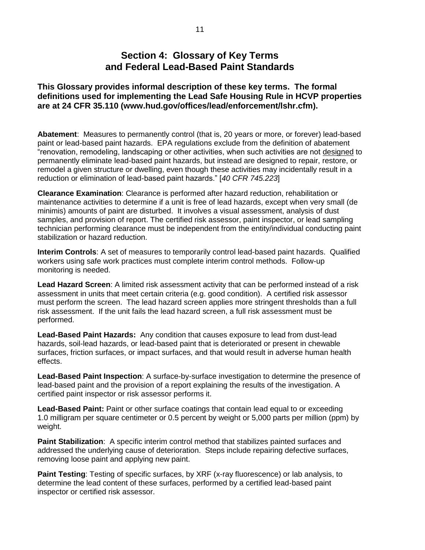# **Section 4: Glossary of Key Terms and Federal Lead-Based Paint Standards**

**This Glossary provides informal description of these key terms. The formal definitions used for implementing the Lead Safe Housing Rule in HCVP properties are at 24 CFR 35.110 (www.hud.gov/offices/lead/enforcement/lshr.cfm).**

**Abatement**: Measures to permanently control (that is, 20 years or more, or forever) lead-based paint or lead-based paint hazards. EPA regulations exclude from the definition of abatement "renovation, remodeling, landscaping or other activities, when such activities are not designed to permanently eliminate lead-based paint hazards, but instead are designed to repair, restore, or remodel a given structure or dwelling, even though these activities may incidentally result in a reduction or elimination of lead-based paint hazards." [*40 CFR 745.223*]

**Clearance Examination**: Clearance is performed after hazard reduction, rehabilitation or maintenance activities to determine if a unit is free of lead hazards, except when very small (de minimis) amounts of paint are disturbed. It involves a visual assessment, analysis of dust samples, and provision of report. The certified risk assessor, paint inspector, or lead sampling technician performing clearance must be independent from the entity/individual conducting paint stabilization or hazard reduction.

**Interim Controls**: A set of measures to temporarily control lead-based paint hazards. Qualified workers using safe work practices must complete interim control methods. Follow-up monitoring is needed.

**Lead Hazard Screen**: A limited risk assessment activity that can be performed instead of a risk assessment in units that meet certain criteria (e.g. good condition). A certified risk assessor must perform the screen. The lead hazard screen applies more stringent thresholds than a full risk assessment. If the unit fails the lead hazard screen, a full risk assessment must be performed.

**Lead-Based Paint Hazards:** Any condition that causes exposure to lead from dust-lead hazards, soil-lead hazards, or lead-based paint that is deteriorated or present in chewable surfaces, friction surfaces, or impact surfaces, and that would result in adverse human health effects.

**Lead-Based Paint Inspection**: A surface-by-surface investigation to determine the presence of lead-based paint and the provision of a report explaining the results of the investigation. A certified paint inspector or risk assessor performs it.

**Lead-Based Paint:** Paint or other surface coatings that contain lead equal to or exceeding 1.0 milligram per square centimeter or 0.5 percent by weight or 5,000 parts per million (ppm) by weight.

**Paint Stabilization:** A specific interim control method that stabilizes painted surfaces and addressed the underlying cause of deterioration. Steps include repairing defective surfaces, removing loose paint and applying new paint.

**Paint Testing**: Testing of specific surfaces, by XRF (x-ray fluorescence) or lab analysis, to determine the lead content of these surfaces, performed by a certified lead-based paint inspector or certified risk assessor.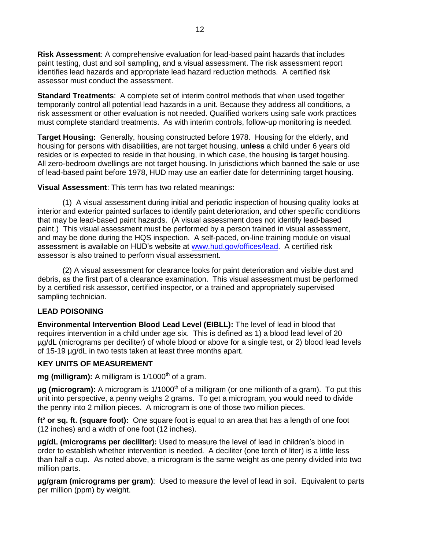**Risk Assessment**: A comprehensive evaluation for lead-based paint hazards that includes paint testing, dust and soil sampling, and a visual assessment. The risk assessment report identifies lead hazards and appropriate lead hazard reduction methods. A certified risk assessor must conduct the assessment.

**Standard Treatments**: A complete set of interim control methods that when used together temporarily control all potential lead hazards in a unit. Because they address all conditions, a risk assessment or other evaluation is not needed. Qualified workers using safe work practices must complete standard treatments. As with interim controls, follow-up monitoring is needed.

**Target Housing:** Generally, housing constructed before 1978. Housing for the elderly, and housing for persons with disabilities, are not target housing, **unless** a child under 6 years old resides or is expected to reside in that housing, in which case, the housing **is** target housing. All zero-bedroom dwellings are not target housing. In jurisdictions which banned the sale or use of lead-based paint before 1978, HUD may use an earlier date for determining target housing.

**Visual Assessment**: This term has two related meanings:

(1) A visual assessment during initial and periodic inspection of housing quality looks at interior and exterior painted surfaces to identify paint deterioration, and other specific conditions that may be lead-based paint hazards. (A visual assessment does not identify lead-based paint.) This visual assessment must be performed by a person trained in visual assessment, and may be done during the HQS inspection. A self-paced, on-line training module on visual assessment is available on HUD's website at [www.hud.gov/offices/lead.](http://www.hud.gov/offices/lead) A certified risk assessor is also trained to perform visual assessment.

(2) A visual assessment for clearance looks for paint deterioration and visible dust and debris, as the first part of a clearance examination. This visual assessment must be performed by a certified risk assessor, certified inspector, or a trained and appropriately supervised sampling technician.

#### **LEAD POISONING**

**Environmental Intervention Blood Lead Level (EIBLL):** The level of lead in blood that requires intervention in a child under age six. This is defined as 1) a blood lead level of 20 µg/dL (micrograms per deciliter) of whole blood or above for a single test, or 2) blood lead levels of 15-19 µg/dL in two tests taken at least three months apart.

#### **KEY UNITS OF MEASUREMENT**

**mg (milligram):** A milligram is 1/1000<sup>th</sup> of a gram.

**µg (microgram):** A microgram is 1/1000<sup>th</sup> of a milligram (or one millionth of a gram). To put this unit into perspective, a penny weighs 2 grams. To get a microgram, you would need to divide the penny into 2 million pieces. A microgram is one of those two million pieces.

**ft² or sq. ft. (square foot):** One square foot is equal to an area that has a length of one foot (12 inches) and a width of one foot (12 inches).

**µg/dL (micrograms per deciliter):** Used to measure the level of lead in children's blood in order to establish whether intervention is needed. A deciliter (one tenth of liter) is a little less than half a cup. As noted above, a microgram is the same weight as one penny divided into two million parts.

**µg/gram (micrograms per gram)**: Used to measure the level of lead in soil. Equivalent to parts per million (ppm) by weight.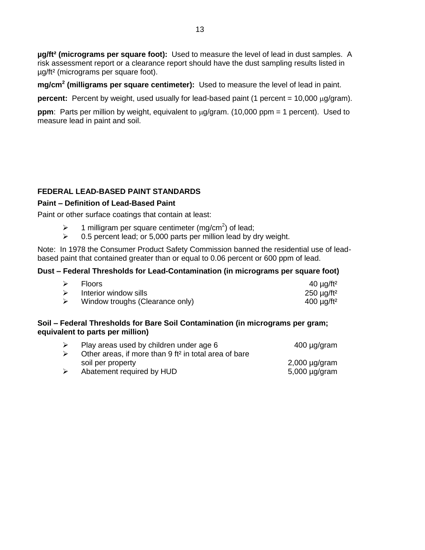**µg/ft² (micrograms per square foot):** Used to measure the level of lead in dust samples. A risk assessment report or a clearance report should have the dust sampling results listed in µg/ft² (micrograms per square foot).

**mg/cm<sup>2</sup> (milligrams per square centimeter):** Used to measure the level of lead in paint.

**percent:** Percent by weight, used usually for lead-based paint (1 percent = 10,000  $\mu$ g/gram).

**ppm**: Parts per million by weight, equivalent to  $\mu q/q$  ram. (10,000 ppm = 1 percent). Used to measure lead in paint and soil.

#### **FEDERAL LEAD-BASED PAINT STANDARDS**

#### **Paint – Definition of Lead-Based Paint**

Paint or other surface coatings that contain at least:

- $\triangleright$  1 milligram per square centimeter (mg/cm<sup>2</sup>) of lead;
- $\geq$  0.5 percent lead; or 5,000 parts per million lead by dry weight.

Note: In 1978 the Consumer Product Safety Commission banned the residential use of leadbased paint that contained greater than or equal to 0.06 percent or 600 ppm of lead.

#### **Dust – Federal Thresholds for Lead-Contamination (in micrograms per square foot)**

| $\triangleright$ | <b>Floors</b>                   | 40 $\mu$ g/ft <sup>2</sup> |
|------------------|---------------------------------|----------------------------|
| $\triangleright$ | Interior window sills           | $250 \mu g / ft^2$         |
|                  | Window troughs (Clearance only) | $400 \mu g / ft^2$         |

#### **Soil – Federal Thresholds for Bare Soil Contamination (in micrograms per gram; equivalent to parts per million)**

| ➤ | Play areas used by children under age 6                           | $400 \mu g/gram$   |
|---|-------------------------------------------------------------------|--------------------|
| ➤ | Other areas, if more than 9 ft <sup>2</sup> in total area of bare |                    |
|   | soil per property                                                 | $2,000 \mu g/gram$ |
| ⋗ | Abatement required by HUD                                         | $5,000 \mu g/gram$ |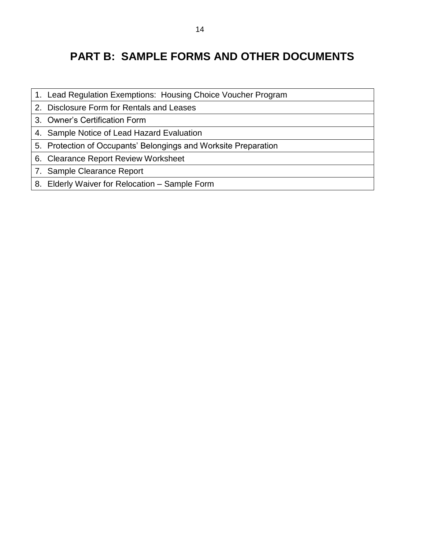# **PART B: SAMPLE FORMS AND OTHER DOCUMENTS**

- 1. Lead Regulation Exemptions: Housing Choice Voucher Program
- 2. Disclosure Form for Rentals and Leases
- 3. Owner's Certification Form
- 4. Sample Notice of Lead Hazard Evaluation
- 5. Protection of Occupants' Belongings and Worksite Preparation
- 6. Clearance Report Review Worksheet
- 7. Sample Clearance Report
- 8. Elderly Waiver for Relocation Sample Form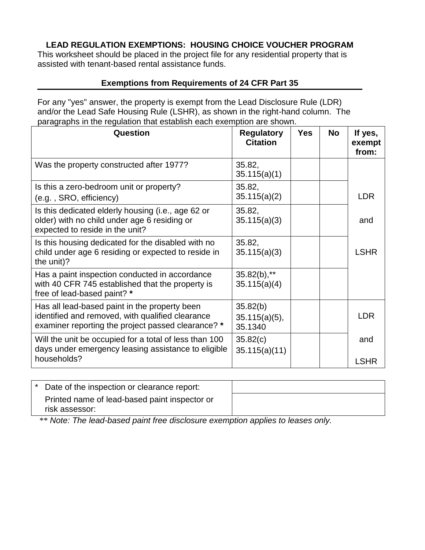# **LEAD REGULATION EXEMPTIONS: HOUSING CHOICE VOUCHER PROGRAM**

This worksheet should be placed in the project file for any residential property that is assisted with tenant-based rental assistance funds.

# **Exemptions from Requirements of 24 CFR Part 35**

For any "yes" answer, the property is exempt from the Lead Disclosure Rule (LDR) and/or the Lead Safe Housing Rule (LSHR), as shown in the right-hand column. The paragraphs in the regulation that establish each exemption are shown.

| Question                                                                                                                                                | <b>Regulatory</b><br><b>Citation</b>    | <b>Yes</b> | No | If yes,<br>exempt<br>from: |
|---------------------------------------------------------------------------------------------------------------------------------------------------------|-----------------------------------------|------------|----|----------------------------|
| Was the property constructed after 1977?                                                                                                                | 35.82,<br>35.115(a)(1)                  |            |    |                            |
| Is this a zero-bedroom unit or property?<br>(e.g., SRO, efficiency)                                                                                     | 35.82,<br>35.115(a)(2)                  |            |    | <b>LDR</b>                 |
| Is this dedicated elderly housing (i.e., age 62 or<br>older) with no child under age 6 residing or<br>expected to reside in the unit?                   | 35.82,<br>35.115(a)(3)                  |            |    | and                        |
| Is this housing dedicated for the disabled with no<br>child under age 6 residing or expected to reside in<br>the unit)?                                 | 35.82,<br>35.115(a)(3)                  |            |    | <b>LSHR</b>                |
| Has a paint inspection conducted in accordance<br>with 40 CFR 745 established that the property is<br>free of lead-based paint? *                       | $35.82(b),$ **<br>35.115(a)(4)          |            |    |                            |
| Has all lead-based paint in the property been<br>identified and removed, with qualified clearance<br>examiner reporting the project passed clearance? * | 35.82(b)<br>$35.115(a)(5)$ ,<br>35.1340 |            |    | <b>LDR</b>                 |
| Will the unit be occupied for a total of less than 100<br>days under emergency leasing assistance to eligible                                           | 35.82(c)<br>35.115(a)(11)               |            |    | and                        |
| households?                                                                                                                                             |                                         |            |    | <b>LSHR</b>                |

| * Date of the inspection or clearance report:                   |  |
|-----------------------------------------------------------------|--|
| Printed name of lead-based paint inspector or<br>risk assessor: |  |

\*\* *Note: The lead-based paint free disclosure exemption applies to leases only.*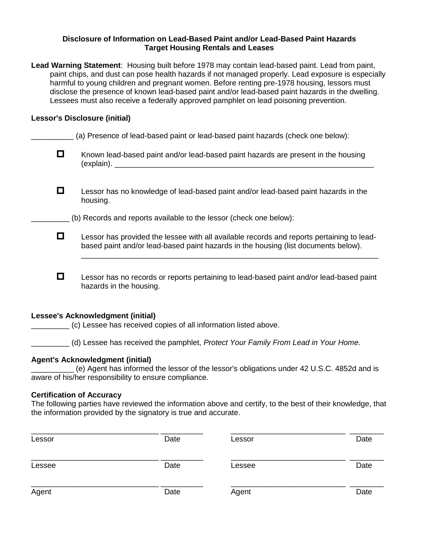#### **Disclosure of Information on Lead-Based Paint and/or Lead-Based Paint Hazards Target Housing Rentals and Leases**

| Lead Warning Statement: Housing built before 1978 may contain lead-based paint. Lead from paint,   |  |
|----------------------------------------------------------------------------------------------------|--|
| paint chips, and dust can pose health hazards if not managed properly. Lead exposure is especially |  |
| harmful to young children and pregnant women. Before renting pre-1978 housing, lessors must        |  |
| disclose the presence of known lead-based paint and/or lead-based paint hazards in the dwelling.   |  |
| Lessees must also receive a federally approved pamphlet on lead poisoning prevention.              |  |

## **Lessor's Disclosure (initial)**

|   | (a) Presence of lead-based paint or lead-based paint hazards (check one below):                                                                                                                |
|---|------------------------------------------------------------------------------------------------------------------------------------------------------------------------------------------------|
| О | Known lead-based paint and/or lead-based paint hazards are present in the housing                                                                                                              |
| 0 | Lessor has no knowledge of lead-based paint and/or lead-based paint hazards in the<br>housing.                                                                                                 |
|   | (b) Records and reports available to the lessor (check one below):                                                                                                                             |
| О | Lessor has provided the lessee with all available records and reports pertaining to lead-<br>based paint and/or lead-based paint hazards in the housing (list documents below).                |
| О | Lessor has no records or reports pertaining to lead-based paint and/or lead-based paint<br>hazards in the housing.                                                                             |
|   | <b>Lessee's Acknowledgment (initial)</b><br>(c) Lessee has received copies of all information listed above.                                                                                    |
|   | (d) Lessee has received the pamphlet, Protect Your Family From Lead in Your Home.                                                                                                              |
|   | <b>Agent's Acknowledgment (initial)</b><br>(e) Agent has informed the lessor of the lessor's obligations under 42 U.S.C. 4852d and is<br>aware of his/her responsibility to ensure compliance. |

#### **Certification of Accuracy**

The following parties have reviewed the information above and certify, to the best of their knowledge, that the information provided by the signatory is true and accurate.

| Lessor | Date | Lessor | Date |
|--------|------|--------|------|
| Lessee | Date | Lessee | Date |
| Agent  | Date | Agent  | Date |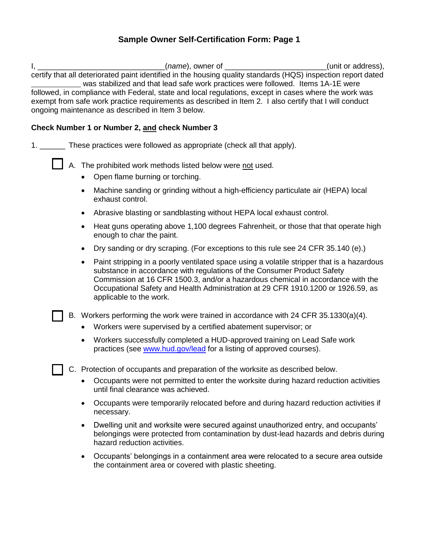# **Sample Owner Self-Certification Form: Page 1**

| $I, \_$ |           | <i>(name</i> ), owner of _                                                                                                                                                                                                                                                                                                                                                                                                                                                | (unit or address), |
|---------|-----------|---------------------------------------------------------------------------------------------------------------------------------------------------------------------------------------------------------------------------------------------------------------------------------------------------------------------------------------------------------------------------------------------------------------------------------------------------------------------------|--------------------|
|         |           | certify that all deteriorated paint identified in the housing quality standards (HQS) inspection report dated<br>was stabilized and that lead safe work practices were followed. Items 1A-1E were<br>followed, in compliance with Federal, state and local regulations, except in cases where the work was<br>exempt from safe work practice requirements as described in Item 2. I also certify that I will conduct<br>ongoing maintenance as described in Item 3 below. |                    |
|         |           | Check Number 1 or Number 2, and check Number 3                                                                                                                                                                                                                                                                                                                                                                                                                            |                    |
|         |           | 1. _______ These practices were followed as appropriate (check all that apply).                                                                                                                                                                                                                                                                                                                                                                                           |                    |
|         |           | A. The prohibited work methods listed below were not used.<br>Open flame burning or torching.                                                                                                                                                                                                                                                                                                                                                                             |                    |
|         |           | Machine sanding or grinding without a high-efficiency particulate air (HEPA) local<br>exhaust control.                                                                                                                                                                                                                                                                                                                                                                    |                    |
|         |           | Abrasive blasting or sandblasting without HEPA local exhaust control.                                                                                                                                                                                                                                                                                                                                                                                                     |                    |
|         |           | Heat guns operating above 1,100 degrees Fahrenheit, or those that that operate high<br>enough to char the paint.                                                                                                                                                                                                                                                                                                                                                          |                    |
|         | $\bullet$ | Dry sanding or dry scraping. (For exceptions to this rule see 24 CFR 35.140 (e).)                                                                                                                                                                                                                                                                                                                                                                                         |                    |
|         | $\bullet$ | Paint stripping in a poorly ventilated space using a volatile stripper that is a hazardous<br>substance in accordance with regulations of the Consumer Product Safety<br>Commission at 16 CFR 1500.3, and/or a hazardous chemical in accordance with the<br>Occupational Safety and Health Administration at 29 CFR 1910.1200 or 1926.59, as<br>applicable to the work.                                                                                                   |                    |
|         |           | B. Workers performing the work were trained in accordance with 24 CFR 35.1330(a)(4).                                                                                                                                                                                                                                                                                                                                                                                      |                    |
|         |           | Workers were supervised by a certified abatement supervisor; or                                                                                                                                                                                                                                                                                                                                                                                                           |                    |
|         |           | Workers successfully completed a HUD-approved training on Lead Safe work<br>practices (see www.hud.gov/lead for a listing of approved courses).                                                                                                                                                                                                                                                                                                                           |                    |
|         |           | C. Protection of occupants and preparation of the worksite as described below.                                                                                                                                                                                                                                                                                                                                                                                            |                    |
|         |           | Occupants were not permitted to enter the worksite during hazard reduction activities<br>until final clearance was achieved.                                                                                                                                                                                                                                                                                                                                              |                    |
|         |           | Occupants were temporarily relocated before and during hazard reduction activities if<br>necessary.                                                                                                                                                                                                                                                                                                                                                                       |                    |

- Dwelling unit and worksite were secured against unauthorized entry, and occupants' belongings were protected from contamination by dust-lead hazards and debris during hazard reduction activities.
- Occupants' belongings in a containment area were relocated to a secure area outside the containment area or covered with plastic sheeting.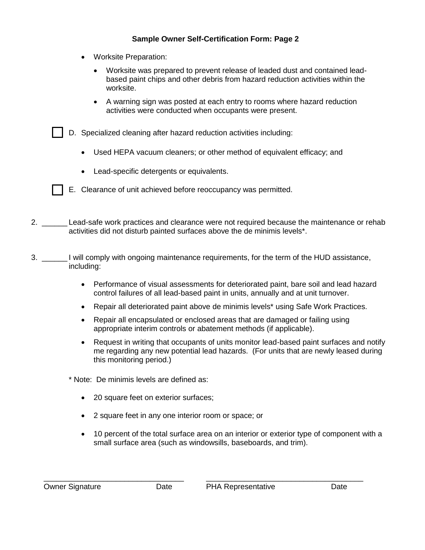## **Sample Owner Self-Certification Form: Page 2**

- Worksite Preparation:
	- Worksite was prepared to prevent release of leaded dust and contained leadbased paint chips and other debris from hazard reduction activities within the worksite.
	- A warning sign was posted at each entry to rooms where hazard reduction activities were conducted when occupants were present.
- D. Specialized cleaning after hazard reduction activities including:
	- Used HEPA vacuum cleaners; or other method of equivalent efficacy; and
	- Lead-specific detergents or equivalents.



- 2. \_\_\_\_\_\_\_\_ Lead-safe work practices and clearance were not required because the maintenance or rehab activities did not disturb painted surfaces above the de minimis levels\*.
- 3. \_\_\_\_\_\_ I will comply with ongoing maintenance requirements, for the term of the HUD assistance, including:
	- Performance of visual assessments for deteriorated paint, bare soil and lead hazard control failures of all lead-based paint in units, annually and at unit turnover.
	- Repair all deteriorated paint above de minimis levels\* using Safe Work Practices.
	- Repair all encapsulated or enclosed areas that are damaged or failing using appropriate interim controls or abatement methods (if applicable).
	- Request in writing that occupants of units monitor lead-based paint surfaces and notify me regarding any new potential lead hazards. (For units that are newly leased during this monitoring period.)
	- \* Note: De minimis levels are defined as:
		- 20 square feet on exterior surfaces;
		- 2 square feet in any one interior room or space; or
		- 10 percent of the total surface area on an interior or exterior type of component with a small surface area (such as windowsills, baseboards, and trim).

\_\_\_\_\_\_\_\_\_\_\_\_\_\_\_\_\_\_\_\_\_\_\_\_\_\_\_\_\_\_\_\_\_ \_\_\_\_\_\_\_\_\_\_\_\_\_\_\_\_\_\_\_\_\_\_\_\_\_\_\_\_\_\_\_\_\_\_\_\_\_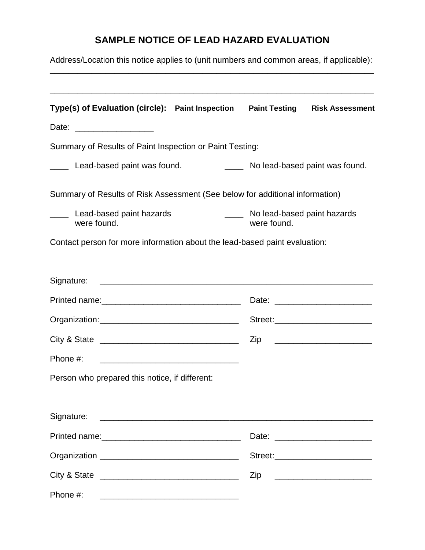# **SAMPLE NOTICE OF LEAD HAZARD EVALUATION**

| Address/Location this notice applies to (unit numbers and common areas, if applicable): |                                            |                                      |
|-----------------------------------------------------------------------------------------|--------------------------------------------|--------------------------------------|
| Type(s) of Evaluation (circle): Paint Inspection  Paint Testing  Risk Assessment        |                                            |                                      |
| Date: ___________________                                                               |                                            |                                      |
| Summary of Results of Paint Inspection or Paint Testing:                                |                                            |                                      |
| Lead-based paint was found.                                                             |                                            | _____ No lead-based paint was found. |
| Summary of Results of Risk Assessment (See below for additional information)            |                                            |                                      |
| Lead-based paint hazards<br>were found.                                                 | No lead-based paint hazards<br>were found. |                                      |
| Contact person for more information about the lead-based paint evaluation:              |                                            |                                      |
|                                                                                         |                                            |                                      |
|                                                                                         |                                            |                                      |
|                                                                                         |                                            |                                      |
|                                                                                         |                                            | Zip __________________________       |
| Phone #:<br><u> 2002 - John Stein, Amerikaans en beskriuwer († 1878)</u>                |                                            |                                      |
| Person who prepared this notice, if different:                                          |                                            |                                      |
| Signature:                                                                              |                                            |                                      |
|                                                                                         |                                            | Date: _________________________      |
|                                                                                         |                                            |                                      |
|                                                                                         |                                            | Zip __________________________       |
| Phone #:                                                                                |                                            |                                      |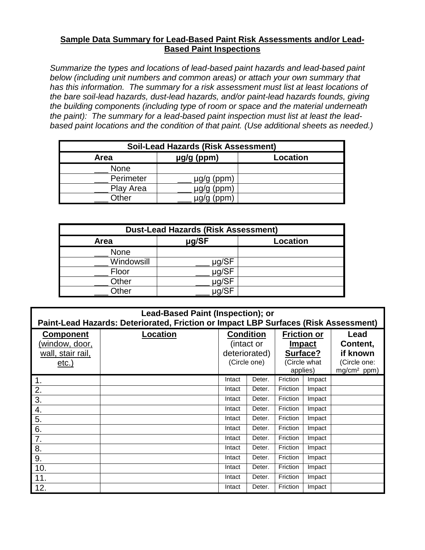# **Sample Data Summary for Lead-Based Paint Risk Assessments and/or Lead-Based Paint Inspections**

*Summarize the types and locations of lead-based paint hazards and lead-based paint below (including unit numbers and common areas) or attach your own summary that has this information. The summary for a risk assessment must list at least locations of the bare soil-lead hazards, dust-lead hazards, and/or paint-lead hazards founds, giving the building components (including type of room or space and the material underneath the paint): The summary for a lead-based paint inspection must list at least the leadbased paint locations and the condition of that paint. (Use additional sheets as needed.)*

| <b>Soil-Lead Hazards (Risk Assessment)</b> |                        |                 |  |  |
|--------------------------------------------|------------------------|-----------------|--|--|
| Area                                       | $\mu$ g/g (ppm)        | <b>Location</b> |  |  |
| <b>None</b>                                |                        |                 |  |  |
| Perimeter                                  | $\mu$ g/g (ppm)        |                 |  |  |
| Play Area                                  | µg/g (ppm)             |                 |  |  |
| Other                                      | $u\alpha/\alpha$ (ppm) |                 |  |  |

| <b>Dust-Lead Hazards (Risk Assessment)</b> |            |          |  |  |
|--------------------------------------------|------------|----------|--|--|
| Area                                       | µg/SF      | Location |  |  |
| <b>None</b>                                |            |          |  |  |
| Windowsill                                 | $\mu$ g/SF |          |  |  |
| Floor                                      | µg/SF      |          |  |  |
| Other                                      | µg/SF      |          |  |  |
| Other                                      | ua/SF      |          |  |  |

| <b>Lead-Based Paint (Inspection); or</b><br>Paint-Lead Hazards: Deteriorated, Friction or Impact LBP Surfaces (Risk Assessment) |                 |                                                          |        |                                                                             |        |                                                                         |
|---------------------------------------------------------------------------------------------------------------------------------|-----------------|----------------------------------------------------------|--------|-----------------------------------------------------------------------------|--------|-------------------------------------------------------------------------|
| <b>Component</b><br><u>(window, door,</u><br>wall, stair rail,<br><u>etc.)</u>                                                  | <b>Location</b> | Condition<br>(intact or<br>deteriorated)<br>(Circle one) |        | <b>Friction or</b><br><b>Impact</b><br>Surface?<br>(Circle what<br>applies) |        | Lead<br>Content,<br>if known<br>(Circle one:<br>mg/cm <sup>2</sup> ppm) |
| 1.                                                                                                                              |                 | Intact                                                   | Deter. | Friction                                                                    | Impact |                                                                         |
| 2.                                                                                                                              |                 | Intact                                                   | Deter. | Friction                                                                    | Impact |                                                                         |
| 3.                                                                                                                              |                 | Intact                                                   | Deter. | Friction                                                                    | Impact |                                                                         |
| 4.                                                                                                                              |                 | Intact                                                   | Deter. | Friction                                                                    | Impact |                                                                         |
| 5.                                                                                                                              |                 | Intact                                                   | Deter. | Friction                                                                    | Impact |                                                                         |
| 6.                                                                                                                              |                 | Intact                                                   | Deter. | Friction                                                                    | Impact |                                                                         |
| 7.                                                                                                                              |                 | Intact                                                   | Deter. | Friction                                                                    | Impact |                                                                         |
| 8.                                                                                                                              |                 | Intact                                                   | Deter. | Friction                                                                    | Impact |                                                                         |
| 9.                                                                                                                              |                 | Intact                                                   | Deter. | Friction                                                                    | Impact |                                                                         |
| 10.                                                                                                                             |                 | Intact                                                   | Deter. | Friction                                                                    | Impact |                                                                         |
| 11.                                                                                                                             |                 | Intact                                                   | Deter. | Friction                                                                    | Impact |                                                                         |
| 12.                                                                                                                             |                 | Intact                                                   | Deter. | Friction                                                                    | Impact |                                                                         |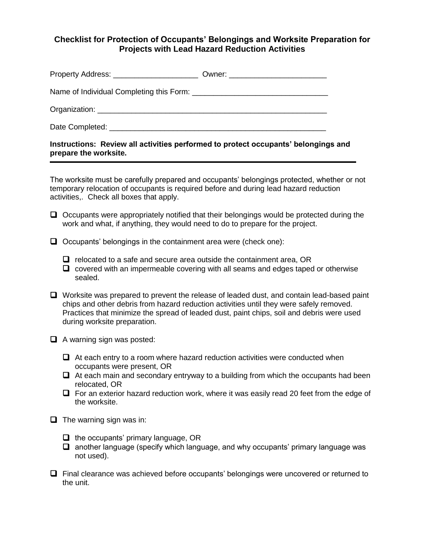# **Checklist for Protection of Occupants' Belongings and Worksite Preparation for Projects with Lead Hazard Reduction Activities**

**Instructions: Review all activities performed to protect occupants' belongings and prepare the worksite.**

The worksite must be carefully prepared and occupants' belongings protected, whether or not temporary relocation of occupants is required before and during lead hazard reduction activities,. Check all boxes that apply.

- $\Box$  Occupants were appropriately notified that their belongings would be protected during the work and what, if anything, they would need to do to prepare for the project.
- $\Box$  Occupants' belongings in the containment area were (check one):
	- $\Box$  relocated to a safe and secure area outside the containment area, OR
	- $\Box$  covered with an impermeable covering with all seams and edges taped or otherwise sealed.
- Worksite was prepared to prevent the release of leaded dust, and contain lead-based paint chips and other debris from hazard reduction activities until they were safely removed. Practices that minimize the spread of leaded dust, paint chips, soil and debris were used during worksite preparation.
- $\Box$  A warning sign was posted:
	- $\Box$  At each entry to a room where hazard reduction activities were conducted when occupants were present, OR
	- $\Box$  At each main and secondary entryway to a building from which the occupants had been relocated, OR
	- $\Box$  For an exterior hazard reduction work, where it was easily read 20 feet from the edge of the worksite.
- $\Box$  The warning sign was in:
	- $\Box$  the occupants' primary language, OR
	- $\Box$  another language (specify which language, and why occupants' primary language was not used).
- Final clearance was achieved before occupants' belongings were uncovered or returned to the unit.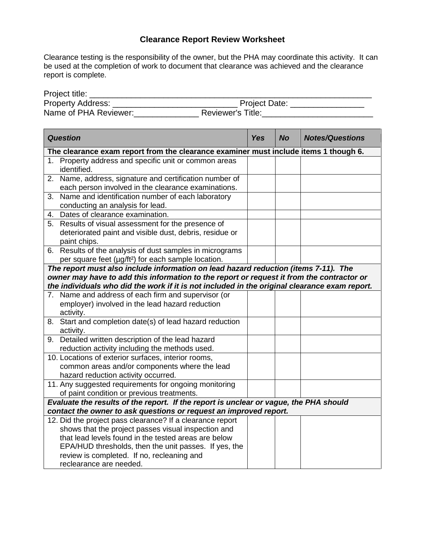# **Clearance Report Review Worksheet**

Clearance testing is the responsibility of the owner, but the PHA may coordinate this activity. It can be used at the completion of work to document that clearance was achieved and the clearance report is complete.

| Project title:           |                          |
|--------------------------|--------------------------|
| <b>Property Address:</b> | <b>Project Date:</b>     |
| Name of PHA Reviewer:    | <b>Reviewer's Title:</b> |

| <b>Question</b>                                                                                                                |  | <b>No</b> | <b>Notes/Questions</b> |
|--------------------------------------------------------------------------------------------------------------------------------|--|-----------|------------------------|
| The clearance exam report from the clearance examiner must include items 1 though 6.                                           |  |           |                        |
| 1. Property address and specific unit or common areas<br>identified.                                                           |  |           |                        |
| 2. Name, address, signature and certification number of<br>each person involved in the clearance examinations.                 |  |           |                        |
| Name and identification number of each laboratory<br>3.<br>conducting an analysis for lead.                                    |  |           |                        |
| 4. Dates of clearance examination.                                                                                             |  |           |                        |
| 5. Results of visual assessment for the presence of<br>deteriorated paint and visible dust, debris, residue or<br>paint chips. |  |           |                        |
| 6. Results of the analysis of dust samples in micrograms<br>per square feet (µg/ft <sup>2</sup> ) for each sample location.    |  |           |                        |
| The report must also include information on lead hazard reduction (items 7-11). The                                            |  |           |                        |
| owner may have to add this information to the report or request it from the contractor or                                      |  |           |                        |
| the individuals who did the work if it is not included in the original clearance exam report.                                  |  |           |                        |
| 7. Name and address of each firm and supervisor (or                                                                            |  |           |                        |
| employer) involved in the lead hazard reduction                                                                                |  |           |                        |
| activity.                                                                                                                      |  |           |                        |
| 8. Start and completion date(s) of lead hazard reduction<br>activity.                                                          |  |           |                        |
| 9. Detailed written description of the lead hazard<br>reduction activity including the methods used.                           |  |           |                        |
| 10. Locations of exterior surfaces, interior rooms,                                                                            |  |           |                        |
| common areas and/or components where the lead                                                                                  |  |           |                        |
| hazard reduction activity occurred.<br>11. Any suggested requirements for ongoing monitoring                                   |  |           |                        |
| of paint condition or previous treatments.                                                                                     |  |           |                        |
| Evaluate the results of the report. If the report is unclear or vague, the PHA should                                          |  |           |                        |
| contact the owner to ask questions or request an improved report.                                                              |  |           |                        |
| 12. Did the project pass clearance? If a clearance report                                                                      |  |           |                        |
| shows that the project passes visual inspection and                                                                            |  |           |                        |
| that lead levels found in the tested areas are below                                                                           |  |           |                        |
| EPA/HUD thresholds, then the unit passes. If yes, the                                                                          |  |           |                        |
| review is completed. If no, recleaning and                                                                                     |  |           |                        |
| reclearance are needed.                                                                                                        |  |           |                        |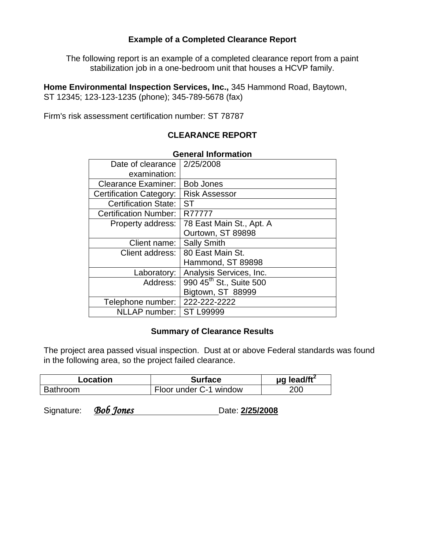# **Example of a Completed Clearance Report**

The following report is an example of a completed clearance report from a paint stabilization job in a one-bedroom unit that houses a HCVP family.

**Home Environmental Inspection Services, Inc.,** 345 Hammond Road, Baytown, ST 12345; 123-123-1235 (phone); 345-789-5678 (fax)

Firm's risk assessment certification number: ST 78787

# **CLEARANCE REPORT**

| Date of clearance            | 2/25/2008                           |  |  |  |  |
|------------------------------|-------------------------------------|--|--|--|--|
| examination:                 |                                     |  |  |  |  |
| <b>Clearance Examiner:</b>   | <b>Bob Jones</b>                    |  |  |  |  |
| Certification Category:      | <b>Risk Assessor</b>                |  |  |  |  |
| <b>Certification State:</b>  | <b>ST</b>                           |  |  |  |  |
| <b>Certification Number:</b> | R77777                              |  |  |  |  |
| Property address:            | 78 East Main St., Apt. A            |  |  |  |  |
|                              | Ourtown, ST 89898                   |  |  |  |  |
| Client name:                 | <b>Sally Smith</b>                  |  |  |  |  |
| Client address:              | 80 East Main St.                    |  |  |  |  |
|                              | Hammond, ST 89898                   |  |  |  |  |
| Laboratory:                  | Analysis Services, Inc.             |  |  |  |  |
| Address:                     | 990 45 <sup>th</sup> St., Suite 500 |  |  |  |  |
|                              | Bigtown, ST 88999                   |  |  |  |  |
| Telephone number:            | 222-222-2222                        |  |  |  |  |
| NLLAP number:                | <b>ST L99999</b>                    |  |  |  |  |

## **General Information**

# **Summary of Clearance Results**

The project area passed visual inspection. Dust at or above Federal standards was found in the following area, so the project failed clearance.

| Location        | <b>Surface</b>         | $\mu$ g lead/ft <sup>2</sup> |
|-----------------|------------------------|------------------------------|
| <b>Bathroom</b> | Floor under C-1 window | 200                          |

Signature: *Bob Jones* **Date: 2/25/2008**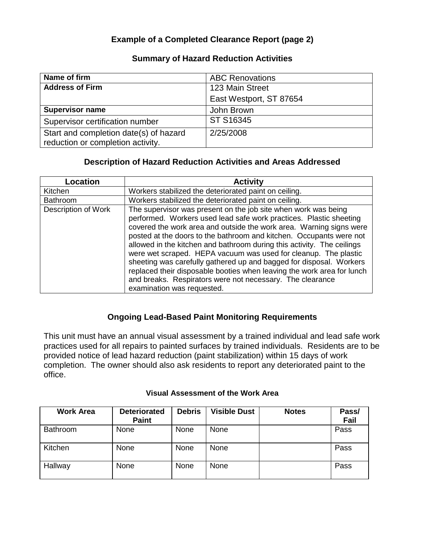# **Example of a Completed Clearance Report (page 2)**

# **Summary of Hazard Reduction Activities**

| Name of firm                           | <b>ABC Renovations</b>  |
|----------------------------------------|-------------------------|
| <b>Address of Firm</b>                 | 123 Main Street         |
|                                        | East Westport, ST 87654 |
| <b>Supervisor name</b>                 | John Brown              |
| Supervisor certification number        | ST S16345               |
| Start and completion date(s) of hazard | 2/25/2008               |
| reduction or completion activity.      |                         |

# **Description of Hazard Reduction Activities and Areas Addressed**

| <b>Location</b>     | <b>Activity</b>                                                                                                                                                                                                                                                                                                                                                                                                                                                                                                                                                                                                                                                             |
|---------------------|-----------------------------------------------------------------------------------------------------------------------------------------------------------------------------------------------------------------------------------------------------------------------------------------------------------------------------------------------------------------------------------------------------------------------------------------------------------------------------------------------------------------------------------------------------------------------------------------------------------------------------------------------------------------------------|
| Kitchen             | Workers stabilized the deteriorated paint on ceiling.                                                                                                                                                                                                                                                                                                                                                                                                                                                                                                                                                                                                                       |
| <b>Bathroom</b>     | Workers stabilized the deteriorated paint on ceiling.                                                                                                                                                                                                                                                                                                                                                                                                                                                                                                                                                                                                                       |
| Description of Work | The supervisor was present on the job site when work was being<br>performed. Workers used lead safe work practices. Plastic sheeting<br>covered the work area and outside the work area. Warning signs were<br>posted at the doors to the bathroom and kitchen. Occupants were not<br>allowed in the kitchen and bathroom during this activity. The ceilings<br>were wet scraped. HEPA vacuum was used for cleanup. The plastic<br>sheeting was carefully gathered up and bagged for disposal. Workers<br>replaced their disposable booties when leaving the work area for lunch<br>and breaks. Respirators were not necessary. The clearance<br>examination was requested. |

# **Ongoing Lead-Based Paint Monitoring Requirements**

This unit must have an annual visual assessment by a trained individual and lead safe work practices used for all repairs to painted surfaces by trained individuals. Residents are to be provided notice of lead hazard reduction (paint stabilization) within 15 days of work completion. The owner should also ask residents to report any deteriorated paint to the office.

| <b>Work Area</b> | <b>Deteriorated</b><br><b>Paint</b> | <b>Debris</b> | <b>Visible Dust</b> | <b>Notes</b> | Pass/<br>Fail |
|------------------|-------------------------------------|---------------|---------------------|--------------|---------------|
| Bathroom         | None                                | None          | None                |              | Pass          |
| Kitchen          | None                                | None          | None                |              | Pass          |
| Hallway          | None                                | None          | None                |              | Pass          |

#### **Visual Assessment of the Work Area**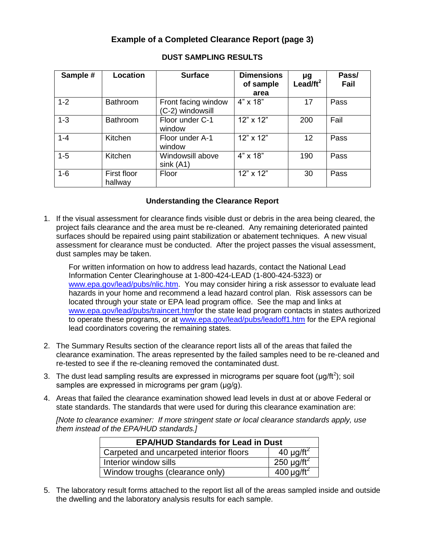# **Example of a Completed Clearance Report (page 3)**

| Sample # | Location               | <b>Surface</b>                          | <b>Dimensions</b><br>of sample<br>area | $\mu$ g<br>Lead/ft <sup>2</sup> | Pass/<br>Fail |
|----------|------------------------|-----------------------------------------|----------------------------------------|---------------------------------|---------------|
| $1 - 2$  | <b>Bathroom</b>        | Front facing window<br>(C-2) windowsill | $4" \times 18"$                        | 17                              | Pass          |
| $1 - 3$  | Bathroom               | Floor under C-1<br>window               | $12" \times 12"$                       | 200                             | Fail          |
| $1 - 4$  | Kitchen                | Floor under A-1<br>window               | 12" x 12"                              | 12                              | Pass          |
| $1 - 5$  | Kitchen                | Windowsill above<br>sink (A1)           | $4" \times 18"$                        | 190                             | Pass          |
| $1 - 6$  | First floor<br>hallway | Floor                                   | $12" \times 12"$                       | 30                              | Pass          |

#### **DUST SAMPLING RESULTS**

#### **Understanding the Clearance Report**

1. If the visual assessment for clearance finds visible dust or debris in the area being cleared, the project fails clearance and the area must be re-cleaned. Any remaining deteriorated painted surfaces should be repaired using paint stabilization or abatement techniques. A new visual assessment for clearance must be conducted. After the project passes the visual assessment, dust samples may be taken.

For written information on how to address lead hazards, contact the National Lead Information Center Clearinghouse at 1-800-424-LEAD (1-800-424-5323) or [www.epa.gov/lead/pubs/nlic.htm.](http://www.epa.gov/lead/pubs/nlic.htm) You may consider hiring a risk assessor to evaluate lead hazards in your home and recommend a lead hazard control plan. Risk assessors can be located through your state or EPA lead program office. See the map and links at [www.epa.gov/lead/pubs/traincert.htmf](http://www.epa.gov/lead/pubs/traincert.htm)or the state lead program contacts in states authorized to operate these programs, or at [www.epa.gov/lead/pubs/leadoff1.htm](http://www.epa.gov/lead/pubs/leadoff1.htm) for the EPA regional lead coordinators covering the remaining states.

- 2. The Summary Results section of the clearance report lists all of the areas that failed the clearance examination. The areas represented by the failed samples need to be re-cleaned and re-tested to see if the re-cleaning removed the contaminated dust.
- 3. The dust lead sampling results are expressed in micrograms per square foot ( $\mu$ g/ft<sup>2</sup>); soil samples are expressed in micrograms per gram (μg/g).
- 4. Areas that failed the clearance examination showed lead levels in dust at or above Federal or state standards. The standards that were used for during this clearance examination are:

*[Note to clearance examiner: If more stringent state or local clearance standards apply, use them instead of the EPA/HUD standards.]*

| <b>EPA/HUD Standards for Lead in Dust</b> |                             |  |  |  |
|-------------------------------------------|-----------------------------|--|--|--|
| Carpeted and uncarpeted interior floors   | 40 $\mu$ g/ft <sup>2</sup>  |  |  |  |
| Interior window sills                     | 250 $\mu$ g/ft <sup>2</sup> |  |  |  |
| Window troughs (clearance only)           | $400 \mu g / \text{ft}^2$   |  |  |  |

5. The laboratory result forms attached to the report list all of the areas sampled inside and outside the dwelling and the laboratory analysis results for each sample.